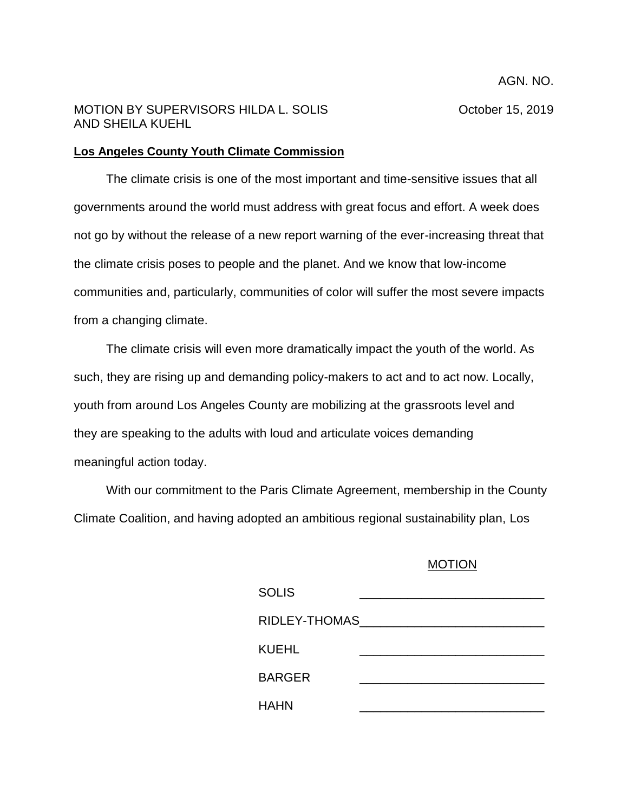## MOTION BY SUPERVISORS HILDA L. SOLIS **SECULAR SECURITY COMMON PROTECT** October 15, 2019 AND SHEILA KUEHL

## **Los Angeles County Youth Climate Commission**

The climate crisis is one of the most important and time-sensitive issues that all governments around the world must address with great focus and effort. A week does not go by without the release of a new report warning of the ever-increasing threat that the climate crisis poses to people and the planet. And we know that low-income communities and, particularly, communities of color will suffer the most severe impacts from a changing climate.

The climate crisis will even more dramatically impact the youth of the world. As such, they are rising up and demanding policy-makers to act and to act now. Locally, youth from around Los Angeles County are mobilizing at the grassroots level and they are speaking to the adults with loud and articulate voices demanding meaningful action today.

With our commitment to the Paris Climate Agreement, membership in the County Climate Coalition, and having adopted an ambitious regional sustainability plan, Los

## MOTION

| <b>SOLIS</b>  |  |
|---------------|--|
| RIDLEY-THOMAS |  |
| KUEHL         |  |
| <b>BARGER</b> |  |
| <b>HAHN</b>   |  |